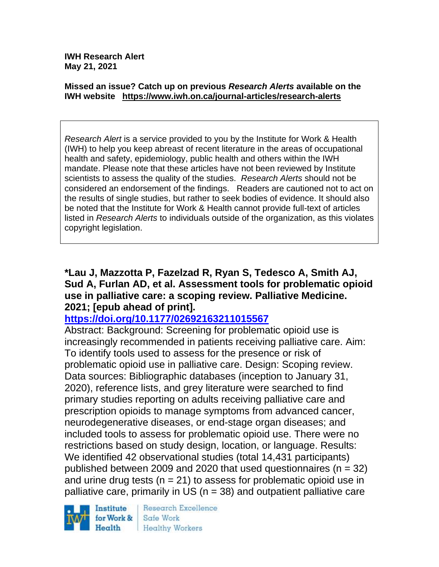**IWH Research Alert May 21, 2021**

#### **Missed an issue? Catch up on previous** *Research Alerts* **available on the [IWH website](http://www.iwh.on.ca/research-alerts) <https://www.iwh.on.ca/journal-articles/research-alerts>**

*Research Alert* is a service provided to you by the Institute for Work & Health (IWH) to help you keep abreast of recent literature in the areas of occupational health and safety, epidemiology, public health and others within the IWH mandate. Please note that these articles have not been reviewed by Institute scientists to assess the quality of the studies. *Research Alerts* should not be considered an endorsement of the findings. Readers are cautioned not to act on the results of single studies, but rather to seek bodies of evidence. It should also be noted that the Institute for Work & Health cannot provide full-text of articles listed in *Research Alerts* to individuals outside of the organization, as this violates copyright legislation.

#### **\*Lau J, Mazzotta P, Fazelzad R, Ryan S, Tedesco A, Smith AJ, Sud A, Furlan AD, et al. Assessment tools for problematic opioid use in palliative care: a scoping review. Palliative Medicine. 2021; [epub ahead of print].**

### **<https://doi.org/10.1177/02692163211015567>**

Abstract: Background: Screening for problematic opioid use is increasingly recommended in patients receiving palliative care. Aim: To identify tools used to assess for the presence or risk of problematic opioid use in palliative care. Design: Scoping review. Data sources: Bibliographic databases (inception to January 31, 2020), reference lists, and grey literature were searched to find primary studies reporting on adults receiving palliative care and prescription opioids to manage symptoms from advanced cancer, neurodegenerative diseases, or end-stage organ diseases; and included tools to assess for problematic opioid use. There were no restrictions based on study design, location, or language. Results: We identified 42 observational studies (total 14,431 participants) published between 2009 and 2020 that used questionnaires  $(n = 32)$ and urine drug tests ( $n = 21$ ) to assess for problematic opioid use in palliative care, primarily in US ( $n = 38$ ) and outpatient palliative care

Institute for Work & Health

**Research Excellence** Safe Work Healthy Workers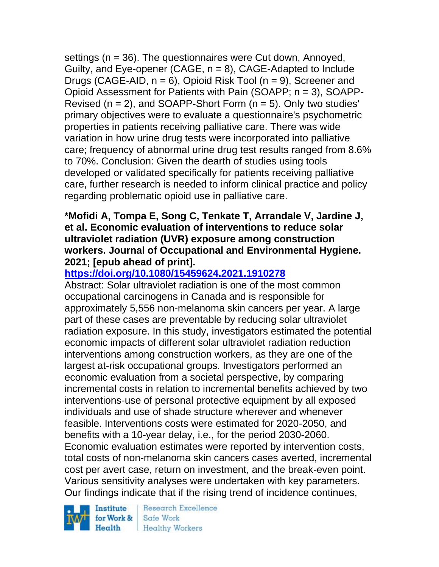settings (n = 36). The questionnaires were Cut down, Annoyed, Guilty, and Eye-opener (CAGE,  $n = 8$ ), CAGE-Adapted to Include Drugs (CAGE-AID,  $n = 6$ ), Opioid Risk Tool ( $n = 9$ ), Screener and Opioid Assessment for Patients with Pain (SOAPP; n = 3), SOAPP-Revised ( $n = 2$ ), and SOAPP-Short Form ( $n = 5$ ). Only two studies' primary objectives were to evaluate a questionnaire's psychometric properties in patients receiving palliative care. There was wide variation in how urine drug tests were incorporated into palliative care; frequency of abnormal urine drug test results ranged from 8.6% to 70%. Conclusion: Given the dearth of studies using tools developed or validated specifically for patients receiving palliative care, further research is needed to inform clinical practice and policy regarding problematic opioid use in palliative care.

### **\*Mofidi A, Tompa E, Song C, Tenkate T, Arrandale V, Jardine J, et al. Economic evaluation of interventions to reduce solar ultraviolet radiation (UVR) exposure among construction workers. Journal of Occupational and Environmental Hygiene. 2021; [epub ahead of print].**

# **<https://doi.org/10.1080/15459624.2021.1910278>**

Abstract: Solar ultraviolet radiation is one of the most common occupational carcinogens in Canada and is responsible for approximately 5,556 non-melanoma skin cancers per year. A large part of these cases are preventable by reducing solar ultraviolet radiation exposure. In this study, investigators estimated the potential economic impacts of different solar ultraviolet radiation reduction interventions among construction workers, as they are one of the largest at-risk occupational groups. Investigators performed an economic evaluation from a societal perspective, by comparing incremental costs in relation to incremental benefits achieved by two interventions-use of personal protective equipment by all exposed individuals and use of shade structure wherever and whenever feasible. Interventions costs were estimated for 2020-2050, and benefits with a 10-year delay, i.e., for the period 2030-2060. Economic evaluation estimates were reported by intervention costs, total costs of non-melanoma skin cancers cases averted, incremental cost per avert case, return on investment, and the break-even point. Various sensitivity analyses were undertaken with key parameters. Our findings indicate that if the rising trend of incidence continues,

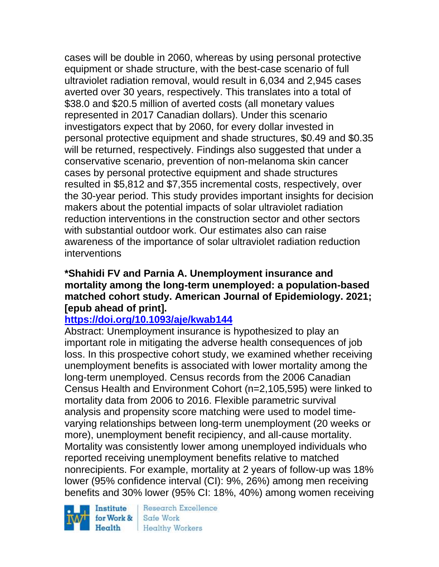cases will be double in 2060, whereas by using personal protective equipment or shade structure, with the best-case scenario of full ultraviolet radiation removal, would result in 6,034 and 2,945 cases averted over 30 years, respectively. This translates into a total of \$38.0 and \$20.5 million of averted costs (all monetary values represented in 2017 Canadian dollars). Under this scenario investigators expect that by 2060, for every dollar invested in personal protective equipment and shade structures, \$0.49 and \$0.35 will be returned, respectively. Findings also suggested that under a conservative scenario, prevention of non-melanoma skin cancer cases by personal protective equipment and shade structures resulted in \$5,812 and \$7,355 incremental costs, respectively, over the 30-year period. This study provides important insights for decision makers about the potential impacts of solar ultraviolet radiation reduction interventions in the construction sector and other sectors with substantial outdoor work. Our estimates also can raise awareness of the importance of solar ultraviolet radiation reduction interventions

#### **\*Shahidi FV and Parnia A. Unemployment insurance and mortality among the long-term unemployed: a population-based matched cohort study. American Journal of Epidemiology. 2021; [epub ahead of print].**

### **<https://doi.org/10.1093/aje/kwab144>**

Abstract: Unemployment insurance is hypothesized to play an important role in mitigating the adverse health consequences of job loss. In this prospective cohort study, we examined whether receiving unemployment benefits is associated with lower mortality among the long-term unemployed. Census records from the 2006 Canadian Census Health and Environment Cohort (n=2,105,595) were linked to mortality data from 2006 to 2016. Flexible parametric survival analysis and propensity score matching were used to model timevarying relationships between long-term unemployment (20 weeks or more), unemployment benefit recipiency, and all-cause mortality. Mortality was consistently lower among unemployed individuals who reported receiving unemployment benefits relative to matched nonrecipients. For example, mortality at 2 years of follow-up was 18% lower (95% confidence interval (CI): 9%, 26%) among men receiving benefits and 30% lower (95% CI: 18%, 40%) among women receiving

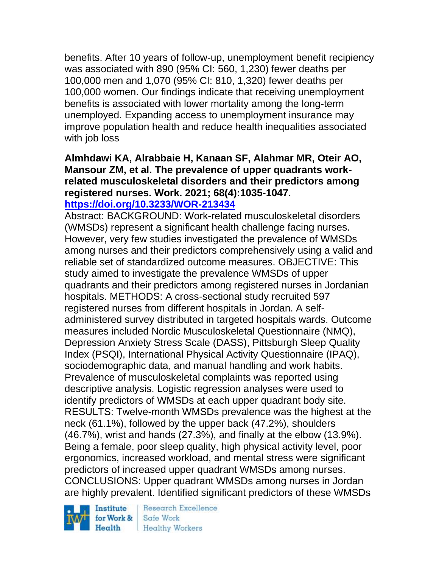benefits. After 10 years of follow-up, unemployment benefit recipiency was associated with 890 (95% CI: 560, 1,230) fewer deaths per 100,000 men and 1,070 (95% CI: 810, 1,320) fewer deaths per 100,000 women. Our findings indicate that receiving unemployment benefits is associated with lower mortality among the long-term unemployed. Expanding access to unemployment insurance may improve population health and reduce health inequalities associated with job loss

#### **Almhdawi KA, Alrabbaie H, Kanaan SF, Alahmar MR, Oteir AO, Mansour ZM, et al. The prevalence of upper quadrants workrelated musculoskeletal disorders and their predictors among registered nurses. Work. 2021; 68(4):1035-1047. <https://doi.org/10.3233/WOR-213434>**

Abstract: BACKGROUND: Work-related musculoskeletal disorders (WMSDs) represent a significant health challenge facing nurses. However, very few studies investigated the prevalence of WMSDs among nurses and their predictors comprehensively using a valid and reliable set of standardized outcome measures. OBJECTIVE: This study aimed to investigate the prevalence WMSDs of upper quadrants and their predictors among registered nurses in Jordanian hospitals. METHODS: A cross-sectional study recruited 597 registered nurses from different hospitals in Jordan. A selfadministered survey distributed in targeted hospitals wards. Outcome measures included Nordic Musculoskeletal Questionnaire (NMQ), Depression Anxiety Stress Scale (DASS), Pittsburgh Sleep Quality Index (PSQI), International Physical Activity Questionnaire (IPAQ), sociodemographic data, and manual handling and work habits. Prevalence of musculoskeletal complaints was reported using descriptive analysis. Logistic regression analyses were used to identify predictors of WMSDs at each upper quadrant body site. RESULTS: Twelve-month WMSDs prevalence was the highest at the neck (61.1%), followed by the upper back (47.2%), shoulders (46.7%), wrist and hands (27.3%), and finally at the elbow (13.9%). Being a female, poor sleep quality, high physical activity level, poor ergonomics, increased workload, and mental stress were significant predictors of increased upper quadrant WMSDs among nurses. CONCLUSIONS: Upper quadrant WMSDs among nurses in Jordan are highly prevalent. Identified significant predictors of these WMSDs

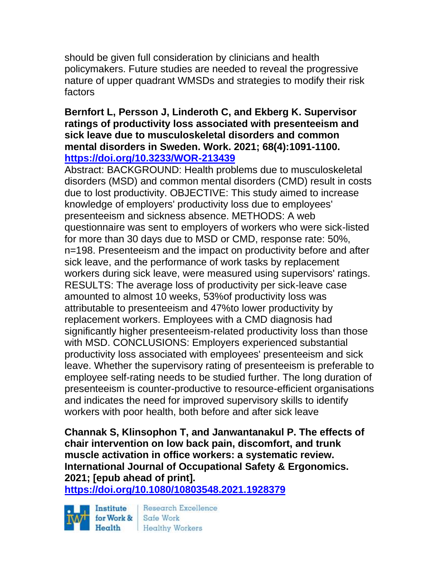should be given full consideration by clinicians and health policymakers. Future studies are needed to reveal the progressive nature of upper quadrant WMSDs and strategies to modify their risk factors

### **Bernfort L, Persson J, Linderoth C, and Ekberg K. Supervisor ratings of productivity loss associated with presenteeism and sick leave due to musculoskeletal disorders and common mental disorders in Sweden. Work. 2021; 68(4):1091-1100. <https://doi.org/10.3233/WOR-213439>**

Abstract: BACKGROUND: Health problems due to musculoskeletal disorders (MSD) and common mental disorders (CMD) result in costs due to lost productivity. OBJECTIVE: This study aimed to increase knowledge of employers' productivity loss due to employees' presenteeism and sickness absence. METHODS: A web questionnaire was sent to employers of workers who were sick-listed for more than 30 days due to MSD or CMD, response rate: 50%, n=198. Presenteeism and the impact on productivity before and after sick leave, and the performance of work tasks by replacement workers during sick leave, were measured using supervisors' ratings. RESULTS: The average loss of productivity per sick-leave case amounted to almost 10 weeks, 53%of productivity loss was attributable to presenteeism and 47%to lower productivity by replacement workers. Employees with a CMD diagnosis had significantly higher presenteeism-related productivity loss than those with MSD. CONCLUSIONS: Employers experienced substantial productivity loss associated with employees' presenteeism and sick leave. Whether the supervisory rating of presenteeism is preferable to employee self-rating needs to be studied further. The long duration of presenteeism is counter-productive to resource-efficient organisations and indicates the need for improved supervisory skills to identify workers with poor health, both before and after sick leave

**Channak S, Klinsophon T, and Janwantanakul P. The effects of chair intervention on low back pain, discomfort, and trunk muscle activation in office workers: a systematic review. International Journal of Occupational Safety & Ergonomics. 2021; [epub ahead of print].**

**<https://doi.org/10.1080/10803548.2021.1928379>** 

Institute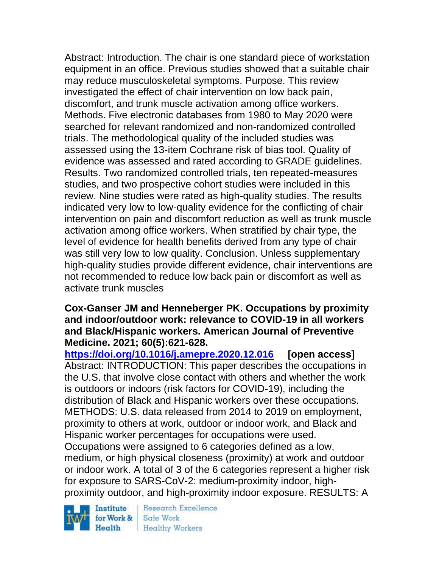Abstract: Introduction. The chair is one standard piece of workstation equipment in an office. Previous studies showed that a suitable chair may reduce musculoskeletal symptoms. Purpose. This review investigated the effect of chair intervention on low back pain, discomfort, and trunk muscle activation among office workers. Methods. Five electronic databases from 1980 to May 2020 were searched for relevant randomized and non-randomized controlled trials. The methodological quality of the included studies was assessed using the 13-item Cochrane risk of bias tool. Quality of evidence was assessed and rated according to GRADE guidelines. Results. Two randomized controlled trials, ten repeated-measures studies, and two prospective cohort studies were included in this review. Nine studies were rated as high-quality studies. The results indicated very low to low-quality evidence for the conflicting of chair intervention on pain and discomfort reduction as well as trunk muscle activation among office workers. When stratified by chair type, the level of evidence for health benefits derived from any type of chair was still very low to low quality. Conclusion. Unless supplementary high-quality studies provide different evidence, chair interventions are not recommended to reduce low back pain or discomfort as well as activate trunk muscles

#### **Cox-Ganser JM and Henneberger PK. Occupations by proximity and indoor/outdoor work: relevance to COVID-19 in all workers and Black/Hispanic workers. American Journal of Preventive Medicine. 2021; 60(5):621-628.**

**<https://doi.org/10.1016/j.amepre.2020.12.016> [open access]** Abstract: INTRODUCTION: This paper describes the occupations in the U.S. that involve close contact with others and whether the work is outdoors or indoors (risk factors for COVID-19), including the distribution of Black and Hispanic workers over these occupations. METHODS: U.S. data released from 2014 to 2019 on employment, proximity to others at work, outdoor or indoor work, and Black and Hispanic worker percentages for occupations were used. Occupations were assigned to 6 categories defined as a low, medium, or high physical closeness (proximity) at work and outdoor or indoor work. A total of 3 of the 6 categories represent a higher risk for exposure to SARS-CoV-2: medium-proximity indoor, highproximity outdoor, and high-proximity indoor exposure. RESULTS: A

Institute for Work &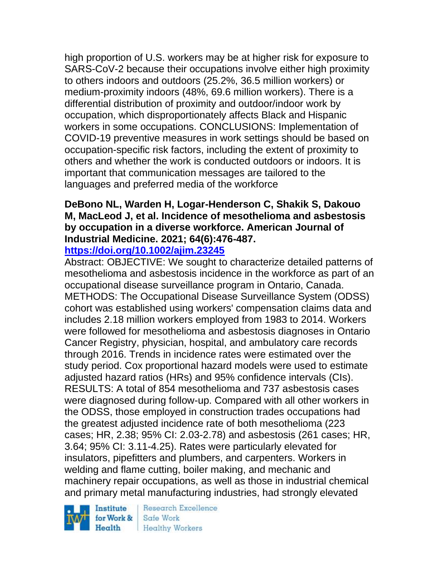high proportion of U.S. workers may be at higher risk for exposure to SARS-CoV-2 because their occupations involve either high proximity to others indoors and outdoors (25.2%, 36.5 million workers) or medium-proximity indoors (48%, 69.6 million workers). There is a differential distribution of proximity and outdoor/indoor work by occupation, which disproportionately affects Black and Hispanic workers in some occupations. CONCLUSIONS: Implementation of COVID-19 preventive measures in work settings should be based on occupation-specific risk factors, including the extent of proximity to others and whether the work is conducted outdoors or indoors. It is important that communication messages are tailored to the languages and preferred media of the workforce

# **DeBono NL, Warden H, Logar-Henderson C, Shakik S, Dakouo M, MacLeod J, et al. Incidence of mesothelioma and asbestosis by occupation in a diverse workforce. American Journal of Industrial Medicine. 2021; 64(6):476-487.**

### **<https://doi.org/10.1002/ajim.23245>**

Abstract: OBJECTIVE: We sought to characterize detailed patterns of mesothelioma and asbestosis incidence in the workforce as part of an occupational disease surveillance program in Ontario, Canada. METHODS: The Occupational Disease Surveillance System (ODSS) cohort was established using workers' compensation claims data and includes 2.18 million workers employed from 1983 to 2014. Workers were followed for mesothelioma and asbestosis diagnoses in Ontario Cancer Registry, physician, hospital, and ambulatory care records through 2016. Trends in incidence rates were estimated over the study period. Cox proportional hazard models were used to estimate adjusted hazard ratios (HRs) and 95% confidence intervals (CIs). RESULTS: A total of 854 mesothelioma and 737 asbestosis cases were diagnosed during follow-up. Compared with all other workers in the ODSS, those employed in construction trades occupations had the greatest adjusted incidence rate of both mesothelioma (223 cases; HR, 2.38; 95% CI: 2.03-2.78) and asbestosis (261 cases; HR, 3.64; 95% CI: 3.11-4.25). Rates were particularly elevated for insulators, pipefitters and plumbers, and carpenters. Workers in welding and flame cutting, boiler making, and mechanic and machinery repair occupations, as well as those in industrial chemical and primary metal manufacturing industries, had strongly elevated

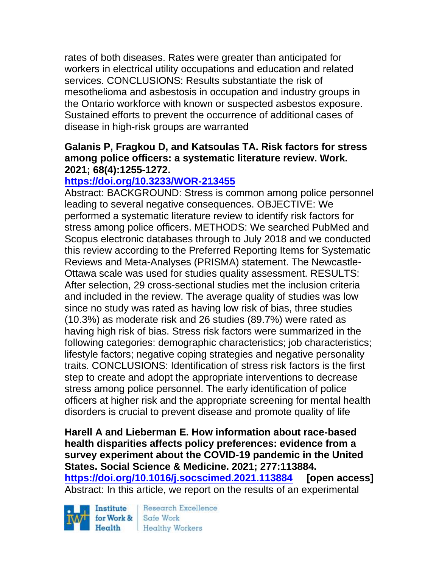rates of both diseases. Rates were greater than anticipated for workers in electrical utility occupations and education and related services. CONCLUSIONS: Results substantiate the risk of mesothelioma and asbestosis in occupation and industry groups in the Ontario workforce with known or suspected asbestos exposure. Sustained efforts to prevent the occurrence of additional cases of disease in high-risk groups are warranted

#### **Galanis P, Fragkou D, and Katsoulas TA. Risk factors for stress among police officers: a systematic literature review. Work. 2021; 68(4):1255-1272.**

## **<https://doi.org/10.3233/WOR-213455>**

Abstract: BACKGROUND: Stress is common among police personnel leading to several negative consequences. OBJECTIVE: We performed a systematic literature review to identify risk factors for stress among police officers. METHODS: We searched PubMed and Scopus electronic databases through to July 2018 and we conducted this review according to the Preferred Reporting Items for Systematic Reviews and Meta-Analyses (PRISMA) statement. The Newcastle-Ottawa scale was used for studies quality assessment. RESULTS: After selection, 29 cross-sectional studies met the inclusion criteria and included in the review. The average quality of studies was low since no study was rated as having low risk of bias, three studies (10.3%) as moderate risk and 26 studies (89.7%) were rated as having high risk of bias. Stress risk factors were summarized in the following categories: demographic characteristics; job characteristics; lifestyle factors; negative coping strategies and negative personality traits. CONCLUSIONS: Identification of stress risk factors is the first step to create and adopt the appropriate interventions to decrease stress among police personnel. The early identification of police officers at higher risk and the appropriate screening for mental health disorders is crucial to prevent disease and promote quality of life

**Harell A and Lieberman E. How information about race-based health disparities affects policy preferences: evidence from a survey experiment about the COVID-19 pandemic in the United States. Social Science & Medicine. 2021; 277:113884. <https://doi.org/10.1016/j.socscimed.2021.113884> [open access]** Abstract: In this article, we report on the results of an experimental

Institute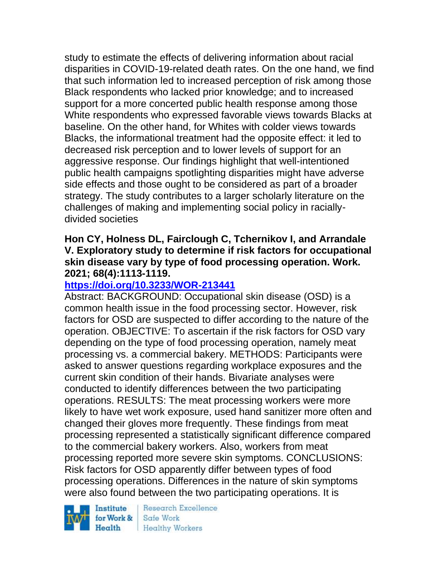study to estimate the effects of delivering information about racial disparities in COVID-19-related death rates. On the one hand, we find that such information led to increased perception of risk among those Black respondents who lacked prior knowledge; and to increased support for a more concerted public health response among those White respondents who expressed favorable views towards Blacks at baseline. On the other hand, for Whites with colder views towards Blacks, the informational treatment had the opposite effect: it led to decreased risk perception and to lower levels of support for an aggressive response. Our findings highlight that well-intentioned public health campaigns spotlighting disparities might have adverse side effects and those ought to be considered as part of a broader strategy. The study contributes to a larger scholarly literature on the challenges of making and implementing social policy in raciallydivided societies

#### **Hon CY, Holness DL, Fairclough C, Tchernikov I, and Arrandale V. Exploratory study to determine if risk factors for occupational skin disease vary by type of food processing operation. Work. 2021; 68(4):1113-1119.**

### **<https://doi.org/10.3233/WOR-213441>**

Abstract: BACKGROUND: Occupational skin disease (OSD) is a common health issue in the food processing sector. However, risk factors for OSD are suspected to differ according to the nature of the operation. OBJECTIVE: To ascertain if the risk factors for OSD vary depending on the type of food processing operation, namely meat processing vs. a commercial bakery. METHODS: Participants were asked to answer questions regarding workplace exposures and the current skin condition of their hands. Bivariate analyses were conducted to identify differences between the two participating operations. RESULTS: The meat processing workers were more likely to have wet work exposure, used hand sanitizer more often and changed their gloves more frequently. These findings from meat processing represented a statistically significant difference compared to the commercial bakery workers. Also, workers from meat processing reported more severe skin symptoms. CONCLUSIONS: Risk factors for OSD apparently differ between types of food processing operations. Differences in the nature of skin symptoms were also found between the two participating operations. It is

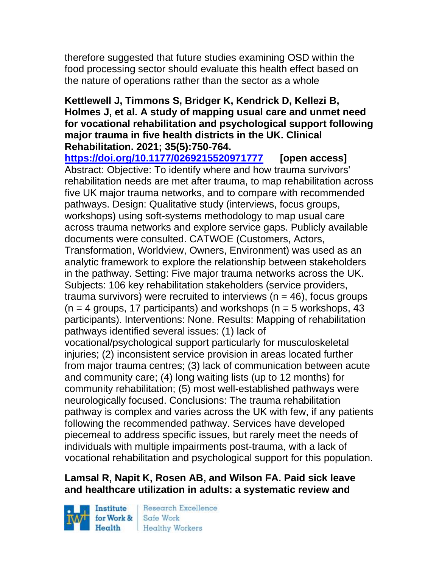therefore suggested that future studies examining OSD within the food processing sector should evaluate this health effect based on the nature of operations rather than the sector as a whole

#### **Kettlewell J, Timmons S, Bridger K, Kendrick D, Kellezi B, Holmes J, et al. A study of mapping usual care and unmet need for vocational rehabilitation and psychological support following major trauma in five health districts in the UK. Clinical Rehabilitation. 2021; 35(5):750-764.**

**<https://doi.org/10.1177/0269215520971777> [open access]** Abstract: Objective: To identify where and how trauma survivors' rehabilitation needs are met after trauma, to map rehabilitation across five UK major trauma networks, and to compare with recommended pathways. Design: Qualitative study (interviews, focus groups, workshops) using soft-systems methodology to map usual care across trauma networks and explore service gaps. Publicly available documents were consulted. CATWOE (Customers, Actors, Transformation, Worldview, Owners, Environment) was used as an analytic framework to explore the relationship between stakeholders in the pathway. Setting: Five major trauma networks across the UK. Subjects: 106 key rehabilitation stakeholders (service providers, trauma survivors) were recruited to interviews ( $n = 46$ ), focus groups  $(n = 4$  groups, 17 participants) and workshops  $(n = 5$  workshops, 43 participants). Interventions: None. Results: Mapping of rehabilitation pathways identified several issues: (1) lack of vocational/psychological support particularly for musculoskeletal injuries; (2) inconsistent service provision in areas located further from major trauma centres; (3) lack of communication between acute and community care; (4) long waiting lists (up to 12 months) for community rehabilitation; (5) most well-established pathways were neurologically focused. Conclusions: The trauma rehabilitation pathway is complex and varies across the UK with few, if any patients following the recommended pathway. Services have developed piecemeal to address specific issues, but rarely meet the needs of individuals with multiple impairments post-trauma, with a lack of vocational rehabilitation and psychological support for this population.

### **Lamsal R, Napit K, Rosen AB, and Wilson FA. Paid sick leave and healthcare utilization in adults: a systematic review and**

Institute Health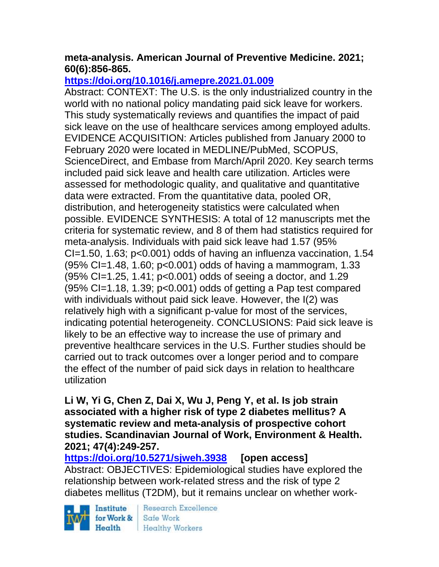### **meta-analysis. American Journal of Preventive Medicine. 2021; 60(6):856-865.**

# **<https://doi.org/10.1016/j.amepre.2021.01.009>**

Abstract: CONTEXT: The U.S. is the only industrialized country in the world with no national policy mandating paid sick leave for workers. This study systematically reviews and quantifies the impact of paid sick leave on the use of healthcare services among employed adults. EVIDENCE ACQUISITION: Articles published from January 2000 to February 2020 were located in MEDLINE/PubMed, SCOPUS, ScienceDirect, and Embase from March/April 2020. Key search terms included paid sick leave and health care utilization. Articles were assessed for methodologic quality, and qualitative and quantitative data were extracted. From the quantitative data, pooled OR, distribution, and heterogeneity statistics were calculated when possible. EVIDENCE SYNTHESIS: A total of 12 manuscripts met the criteria for systematic review, and 8 of them had statistics required for meta-analysis. Individuals with paid sick leave had 1.57 (95% CI=1.50, 1.63; p<0.001) odds of having an influenza vaccination, 1.54 (95% CI=1.48, 1.60; p<0.001) odds of having a mammogram, 1.33 (95% CI=1.25, 1.41; p<0.001) odds of seeing a doctor, and 1.29  $(95\%$  CI=1.18, 1.39; p<0.001) odds of getting a Pap test compared with individuals without paid sick leave. However, the I(2) was relatively high with a significant p-value for most of the services, indicating potential heterogeneity. CONCLUSIONS: Paid sick leave is likely to be an effective way to increase the use of primary and preventive healthcare services in the U.S. Further studies should be carried out to track outcomes over a longer period and to compare the effect of the number of paid sick days in relation to healthcare utilization

**Li W, Yi G, Chen Z, Dai X, Wu J, Peng Y, et al. Is job strain associated with a higher risk of type 2 diabetes mellitus? A systematic review and meta-analysis of prospective cohort studies. Scandinavian Journal of Work, Environment & Health. 2021; 47(4):249-257.** 

**<https://doi.org/10.5271/sjweh.3938> [open access]** Abstract: OBJECTIVES: Epidemiological studies have explored the relationship between work-related stress and the risk of type 2 diabetes mellitus (T2DM), but it remains unclear on whether work-

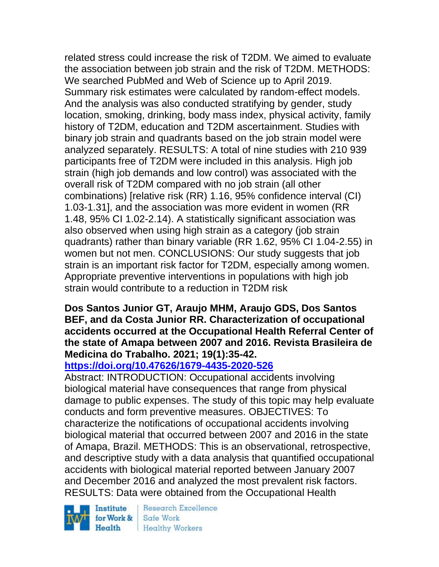related stress could increase the risk of T2DM. We aimed to evaluate the association between job strain and the risk of T2DM. METHODS: We searched PubMed and Web of Science up to April 2019. Summary risk estimates were calculated by random-effect models. And the analysis was also conducted stratifying by gender, study location, smoking, drinking, body mass index, physical activity, family history of T2DM, education and T2DM ascertainment. Studies with binary job strain and quadrants based on the job strain model were analyzed separately. RESULTS: A total of nine studies with 210 939 participants free of T2DM were included in this analysis. High job strain (high job demands and low control) was associated with the overall risk of T2DM compared with no job strain (all other combinations) [relative risk (RR) 1.16, 95% confidence interval (CI) 1.03-1.31], and the association was more evident in women (RR 1.48, 95% CI 1.02-2.14). A statistically significant association was also observed when using high strain as a category (job strain quadrants) rather than binary variable (RR 1.62, 95% CI 1.04-2.55) in women but not men. CONCLUSIONS: Our study suggests that job strain is an important risk factor for T2DM, especially among women. Appropriate preventive interventions in populations with high job strain would contribute to a reduction in T2DM risk

### **Dos Santos Junior GT, Araujo MHM, Araujo GDS, Dos Santos BEF, and da Costa Junior RR. Characterization of occupational accidents occurred at the Occupational Health Referral Center of the state of Amapa between 2007 and 2016. Revista Brasileira de Medicina do Trabalho. 2021; 19(1):35-42.**

## **<https://doi.org/10.47626/1679-4435-2020-526>**

Abstract: INTRODUCTION: Occupational accidents involving biological material have consequences that range from physical damage to public expenses. The study of this topic may help evaluate conducts and form preventive measures. OBJECTIVES: To characterize the notifications of occupational accidents involving biological material that occurred between 2007 and 2016 in the state of Amapa, Brazil. METHODS: This is an observational, retrospective, and descriptive study with a data analysis that quantified occupational accidents with biological material reported between January 2007 and December 2016 and analyzed the most prevalent risk factors. RESULTS: Data were obtained from the Occupational Health

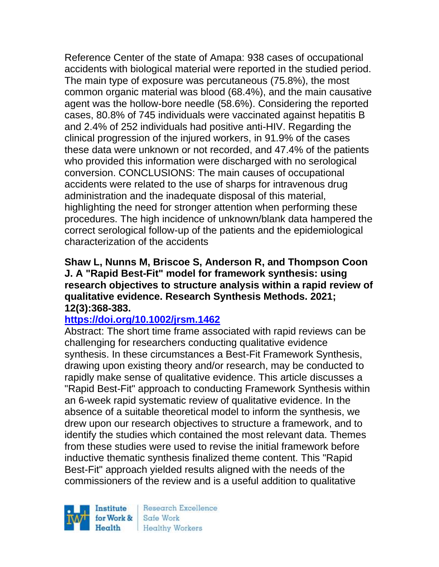Reference Center of the state of Amapa: 938 cases of occupational accidents with biological material were reported in the studied period. The main type of exposure was percutaneous (75.8%), the most common organic material was blood (68.4%), and the main causative agent was the hollow-bore needle (58.6%). Considering the reported cases, 80.8% of 745 individuals were vaccinated against hepatitis B and 2.4% of 252 individuals had positive anti-HIV. Regarding the clinical progression of the injured workers, in 91.9% of the cases these data were unknown or not recorded, and 47.4% of the patients who provided this information were discharged with no serological conversion. CONCLUSIONS: The main causes of occupational accidents were related to the use of sharps for intravenous drug administration and the inadequate disposal of this material, highlighting the need for stronger attention when performing these procedures. The high incidence of unknown/blank data hampered the correct serological follow-up of the patients and the epidemiological characterization of the accidents

#### **Shaw L, Nunns M, Briscoe S, Anderson R, and Thompson Coon J. A "Rapid Best-Fit" model for framework synthesis: using research objectives to structure analysis within a rapid review of qualitative evidence. Research Synthesis Methods. 2021; 12(3):368-383.**

## **<https://doi.org/10.1002/jrsm.1462>**

Abstract: The short time frame associated with rapid reviews can be challenging for researchers conducting qualitative evidence synthesis. In these circumstances a Best-Fit Framework Synthesis, drawing upon existing theory and/or research, may be conducted to rapidly make sense of qualitative evidence. This article discusses a "Rapid Best-Fit" approach to conducting Framework Synthesis within an 6-week rapid systematic review of qualitative evidence. In the absence of a suitable theoretical model to inform the synthesis, we drew upon our research objectives to structure a framework, and to identify the studies which contained the most relevant data. Themes from these studies were used to revise the initial framework before inductive thematic synthesis finalized theme content. This "Rapid Best-Fit" approach yielded results aligned with the needs of the commissioners of the review and is a useful addition to qualitative